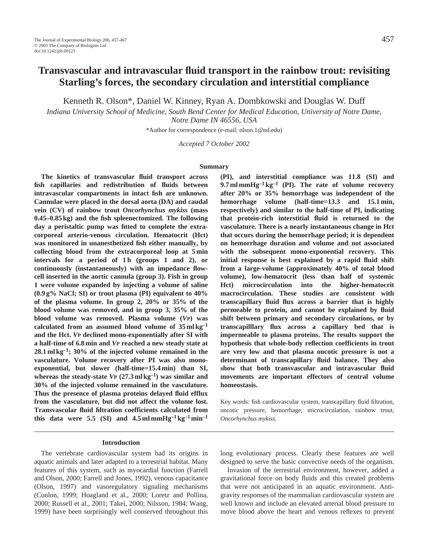# **Transvascular and intravascular fluid transport in the rainbow trout: revisiting Starling's forces, the secondary circulation and interstitial compliance**

Kenneth R. Olson\*, Daniel W. Kinney, Ryan A. Dombkowski and Douglas W. Duff

*Indiana University School of Medicine, South Bend Center for Medical Education, University of Notre Dame, Notre Dame IN 46556, USA*

\*Author for correspondence (e-mail: olson.1@nd.edu)

*Accepted 7 October 2002*

#### **Summary**

**The kinetics of transvascular fluid transport across fish capillaries and redistribution of fluids between intravascular compartments in intact fish are unknown. Cannulae were placed in the dorsal aorta (DA) and caudal vein (CV) of rainbow trout** *Oncorhynchus mykiss* **(mass 0.45–0.85 kg) and the fish spleenectomized. The following day a peristaltic pump was fitted to complete the extracorporeal arterio-venous circulation. Hematocrit (Hct) was monitored in unanesthetized fish either manually, by collecting blood from the extracorporeal loop at 5 min** intervals for a period of 1h (groups 1 and 2), or **continuously (instantaneously) with an impedance flowcell inserted in the aortic cannula (group 3). Fish in group 1 were volume expanded by injecting a volume of saline (0.9 g% NaCl; SI) or trout plasma (PI) equivalent to 40% of the plasma volume. In group 2, 20% or 35% of the blood volume was removed, and in group 3, 35% of the blood volume was removed. Plasma volume (***V***P) was calculated from an assumed blood volume of 35 ml kg–1 and the Hct.** *V***P declined mono-exponentially after SI with a half-time of 6.8 min and** *V***P reached a new steady state at 28.1 ml kg–1; 30% of the injected volume remained in the vasculature. Volume recovery after PI was also monoexponential, but slower (half-time=15.4 min) than SI, whereas the steady-state** *VP* $(27.3 \text{ ml kg}^{-1})$  **was similar and 30% of the injected volume remained in the vasculature. Thus the presence of plasma proteins delayed fluid efflux from the vasculature, but did not affect the volume lost. Transvascular fluid filtration coefficients calculated from this data were 5.5 (SI) and**  $4.5$  **ml mmHg<sup>-1</sup>**  $kg^{-1}$  **min<sup>-1</sup>** 

**(PI), and interstitial compliance was 11.8 (SI) and 9.7 ml mmHg–1 kg–1 (PI). The rate of volume recovery after 20% or 35% hemorrhage was independent of the hemorrhage volume (half-time=13.3 and 15.1 min, respectively) and similar to the half-time of PI, indicating that protein-rich interstitial fluid is returned to the vasculature. There is a nearly instantaneous change in Hct that occurs during the hemorrhage period; it is dependent on hemorrhage duration and volume and not associated with the subsequent mono-exponential recovery. This initial response is best explained by a rapid fluid shift from a large-volume (approximately 40% of total blood volume), low-hematocrit (less than half of systemic Hct) microcirculation into the higher-hematocrit macrocirculation. These studies are consistent with transcapillary fluid flux across a barrier that is highly permeable to protein, and cannot be explained by fluid shift between primary and secondary circulations, or by transcapilllary flux across a capillary bed that is impermeable to plasma proteins. The results support the hypothesis that whole-body reflection coefficients in trout are very low and that plasma oncotic pressure is not a determinant of transcapillary fluid balance. They also show that both transvascular and intravascular fluid movements are important effectors of central volume homeostasis.**

Key words: fish cardiovascular system, transcapillary fluid filtration, oncotic pressure, hemorrhage, microcirculation, rainbow trout, *Oncorhynchus mykiss.*

### **Introduction**

The vertebrate cardiovascular system had its origins in aquatic animals and later adapted to a terrestrial habitat. Many features of this system, such as myocardial function (Farrell and Olson, 2000; Farrell and Jones, 1992), venous capacitance (Olson, 1997) and vasoregulatory signaling mechanisms (Conlon, 1999; Hoagland et al., 2000; Loretz and Pollina, 2000; Russell et al., 2001; Takei, 2000; Nilsson, 1984; Wang, 1999) have been surprisingly well conserved throughout this long evolutionary process. Clearly these features are well designed to serve the basic convective needs of the organism.

Invasion of the terrestrial environment, however, added a gravitational force on body fluids and this created problems that were not anticipated in an aquatic environment. Antigravity responses of the mammalian cardiovascular system are well known and include an elevated arterial blood pressure to move blood above the heart and venous reflexes to prevent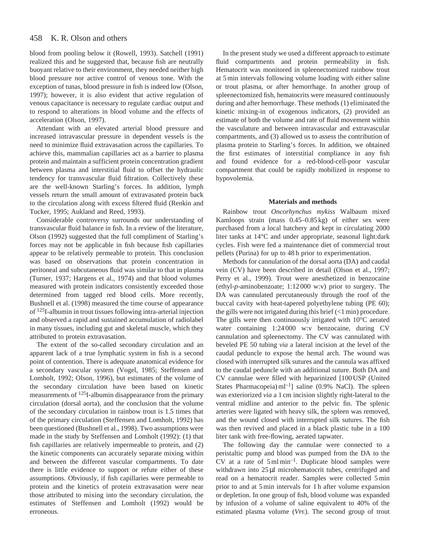#### 458 K. R. Olson and others

blood from pooling below it (Rowell, 1993). Satchell (1991) realized this and he suggested that, because fish are neutrally buoyant relative to their environment, they needed neither high blood pressure nor active control of venous tone. With the exception of tunas, blood pressure in fish is indeed low (Olson, 1997); however, it is also evident that active regulation of venous capacitance is necessary to regulate cardiac output and to respond to alterations in blood volume and the effects of acceleration (Olson, 1997).

Attendant with an elevated arterial blood pressure and increased intravascular pressure in dependent vessels is the need to minimize fluid extravasation across the capillaries. To achieve this, mammalian capillaries act as a barrier to plasma protein and maintain a sufficient protein concentration gradient between plasma and interstitial fluid to offset the hydraulic tendency for transvascular fluid filtration. Collectively these are the well-known Starling's forces. In addition, lymph vessels return the small amount of extravasated protein back to the circulation along with excess filtered fluid (Renkin and Tucker, 1995; Aukland and Reed, 1993).

Considerable controversy surrounds our understanding of transvascular fluid balance in fish. In a review of the literature, Olson (1992) suggested that the full compliment of Starling's forces may not be applicable in fish because fish capillaries appear to be relatively permeable to protein. This conclusion was based on observations that protein concentration in peritoneal and subcutaneous fluid was similar to that in plasma (Turner, 1937; Hargens et al., 1974) and that blood volumes measured with protein indicators consistently exceeded those determined from tagged red blood cells. More recently, Bushnell et al. (1998) measured the time course of appearance of 125I-albumin in trout tissues following intra-arterial injection and observed a rapid and sustained accumulation of radiolabel in many tissues, including gut and skeletal muscle, which they attributed to protein extravasation.

The extent of the so-called secondary circulation and an apparent lack of a true lymphatic system in fish is a second point of contention. There is adequate anatomical evidence for a secondary vascular system (Vogel, 1985; Steffensen and Lomholt, 1992; Olson, 1996), but estimates of the volume of the secondary circulation have been based on kinetic measurements of 125I-albumin disappearance from the primary circulation (dorsal aorta), and the conclusion that the volume of the secondary circulation in rainbow trout is 1.5 times that of the primary circulation (Steffensen and Lomholt, 1992) has been questioned (Bushnell et al., 1998). Two assumptions were made in the study by Steffensen and Lomholt (1992): (1) that fish capillaries are relatively impermeable to protein, and (2) the kinetic components can accurately separate mixing within and between the different vascular compartments. To date there is little evidence to support or refute either of these assumptions. Obviously, if fish capillaries were permeable to protein and the kinetics of protein extravasation were near those attributed to mixing into the secondary circulation, the estimates of Steffensen and Lomholt (1992) would be erroneous.

In the present study we used a different approach to estimate fluid compartments and protein permeability in fish. Hematocrit was monitored in spleenectomized rainbow trout at 5 min intervals following volume loading with either saline or trout plasma, or after hemorrhage. In another group of spleenectomized fish, hematocrits were measured continuously during and after hemorrhage. These methods (1) eliminated the kinetic mixing-in of exogenous indicators, (2) provided an estimate of both the volume and rate of fluid movement within the vasculature and between intravascular and extravascular compartments, and (3) allowed us to assess the contribution of plasma protein to Starling's forces. In addition, we obtained the first estimates of interstitial compliance in any fish and found evidence for a red-blood-cell-poor vascular compartment that could be rapidly mobilized in response to hypovolemia.

### **Materials and methods**

Rainbow trout *Oncorhynchus mykiss* Walbaum mixed Kamloops strain (mass 0.45–0.85 kg) of either sex were purchased from a local hatchery and kept in circulating 2000 liter tanks at 14°C and under appropriate, seasonal light:dark cycles. Fish were fed a maintenance diet of commercial trout pellets (Purina) for up to 48 h prior to experimentation.

Methods for cannulation of the dorsal aorta (DA) and caudal vein (CV) have been described in detail (Olson et al., 1997; Perry et al., 1999). Trout were anesthetized in benzocaine (ethyl-*p*-aminobenzoate; 1:12 000 w:v) prior to surgery. The DA was cannulated percutaneously through the roof of the buccal cavity with heat-tapered polyethylene tubing (PE 60); the gills were not irrigated during this brief  $\left($  < 1 min) procedure. The gills were then continuously irrigated with 10°C aerated water containing 1:24 000 w:v benzocaine, during CV cannulation and spleenectomy. The CV was cannulated with beveled PE 50 tubing *via* a lateral incision at the level of the caudal peduncle to expose the hemal arch. The wound was closed with interrupted silk sutures and the cannula was affixed to the caudal peduncle with an additional suture. Both DA and CV cannulae were filled with heparinized [100 USP (United States Pharmacopeia)  $ml^{-1}$ ] saline (0.9% NaCl). The spleen was exteriorized *via* a 1 cm incision slightly right-lateral to the ventral midline and anterior to the pelvic fin. The splenic arteries were ligated with heavy silk, the spleen was removed, and the wound closed with interrupted silk sutures. The fish was then revived and placed in a black plastic tube in a 100 liter tank with free-flowing, aerated tapwater.

The following day the cannulae were connected to a peristaltic pump and blood was pumped from the DA to the CV at a rate of  $5 \text{ m}$ l min<sup>-1</sup>. Duplicate blood samples were withdrawn into 25 µl microhematocrit tubes, centrifuged and read on a hematocrit reader. Samples were collected 5 min prior to and at 5 min intervals for 1 h after volume expansion or depletion. In one group of fish, blood volume was expanded by infusion of a volume of saline equivalent to 40% of the estimated plasma volume (*V*PE). The second group of trout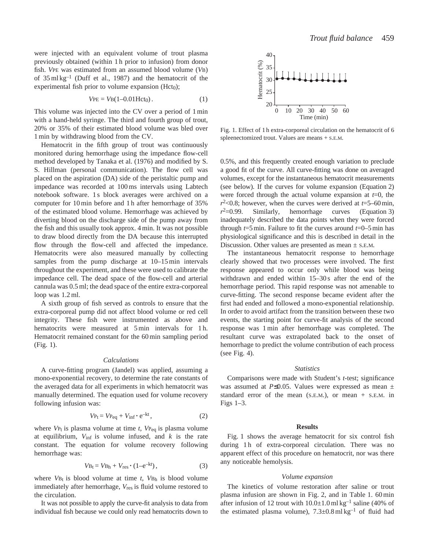were injected with an equivalent volume of trout plasma previously obtained (within 1 h prior to infusion) from donor fish. *V*PE was estimated from an assumed blood volume (*V*B) of  $35 \text{ ml kg}^{-1}$  (Duff et al., 1987) and the hematocrit of the experimental fish prior to volume expansion ( $Hct<sub>0</sub>$ );

$$
VPE = VB(1-0.01Hct_0).
$$
 (1)

This volume was injected into the CV over a period of 1 min with a hand-held syringe. The third and fourth group of trout, 20% or 35% of their estimated blood volume was bled over 1 min by withdrawing blood from the CV.

Hematocrit in the fifth group of trout was continuously monitored during hemorrhage using the impedance flow-cell method developed by Tanaka et al. (1976) and modified by S. S. Hillman (personal communication). The flow cell was placed on the aspiration (DA) side of the peristaltic pump and impedance was recorded at 100 ms intervals using Labtech notebook software. 1 s block averages were archived on a computer for 10 min before and 1 h after hemorrhage of 35% of the estimated blood volume. Hemorrhage was achieved by diverting blood on the discharge side of the pump away from the fish and this usually took approx. 4 min. It was not possible to draw blood directly from the DA because this interrupted flow through the flow-cell and affected the impedance. Hematocrits were also measured manually by collecting samples from the pump discharge at 10–15 min intervals throughout the experiment, and these were used to calibrate the impedance cell. The dead space of the flow-cell and arterial cannula was 0.5 ml; the dead space of the entire extra-corporeal loop was 1.2 ml.

A sixth group of fish served as controls to ensure that the extra-corporeal pump did not affect blood volume or red cell integrity. These fish were instrumented as above and hematocrits were measured at 5 min intervals for 1 h. Hematocrit remained constant for the 60 min sampling period (Fig. 1).

## *Calculations*

A curve-fitting program (Jandel) was applied, assuming a mono-exponential recovery, to determine the rate constants of the averaged data for all experiments in which hematocrit was manually determined. The equation used for volume recovery following infusion was:

$$
V_{\text{Pt}} = V_{\text{Peq}} + V_{\text{inf}} \cdot e^{-kt}, \qquad (2)
$$

where  $V_{\text{Pt}}$  is plasma volume at time *t*,  $V_{\text{Peq}}$  is plasma volume at equilibrium,  $V_{\text{inf}}$  is volume infused, and  $k$  is the rate constant. The equation for volume recovery following hemorrhage was:

$$
V_{\text{Bt}} = V_{\text{Bh}} + V_{\text{res}} \cdot (1 - e^{-kt}), \qquad (3)
$$

where  $V_{Bt}$  is blood volume at time *t*,  $V_{Bh}$  is blood volume immediately after hemorrhage, *V*res is fluid volume restored to the circulation.

It was not possible to apply the curve-fit analysis to data from individual fish because we could only read hematocrits down to



Fig. 1. Effect of 1 h extra-corporeal circulation on the hematocrit of 6 spleenectomized trout. Values are means + S.E.M.

0.5%, and this frequently created enough variation to preclude a good fit of the curve. All curve-fitting was done on averaged volumes, except for the instantaneous hematocrit measurements (see below). If the curves for volume expansion (Equation 2) were forced through the actual volume expansion at *t*=0, the  $r^2$  <0.8; however, when the curves were derived at  $t=5-60$  min,  $r^2=0.99$ . Similarly, hemorrhage curves (Equation 3) inadequately described the data points when they were forced through  $t=5$  min. Failure to fit the curves around  $t=0$ –5 min has physiological significance and this is described in detail in the Discussion. Other values are presented as mean ± S.E.M.

The instantaneous hematocrit response to hemorrhage clearly showed that two processes were involved. The first response appeared to occur only while blood was being withdrawn and ended within  $15-30$  s after the end of the hemorrhage period. This rapid response was not amenable to curve-fitting. The second response became evident after the first had ended and followed a mono-exponential relationship. In order to avoid artifact from the transition between these two events, the starting point for curve-fit analysis of the second response was 1 min after hemorrhage was completed. The resultant curve was extrapolated back to the onset of hemorrhage to predict the volume contribution of each process (see Fig. 4).

### *Statistics*

Comparisons were made with Student's *t*-test; significance was assumed at *P*≤0.05. Values were expressed as mean ± standard error of the mean  $(S.E.M.)$ , or mean  $+$  S.E.M. in Figs 1–3.

## **Results**

Fig. 1 shows the average hematocrit for six control fish during 1h of extra-corporeal circulation. There was no apparent effect of this procedure on hematocrit, nor was there any noticeable hemolysis.

## *Volume expansion*

The kinetics of volume restoration after saline or trout plasma infusion are shown in Fig. 2, and in Table 1. 60 min after infusion of 12 trout with  $10.0 \pm 1.0$  ml kg<sup>-1</sup> saline (40% of the estimated plasma volume),  $7.3 \pm 0.8 \text{ ml kg}^{-1}$  of fluid had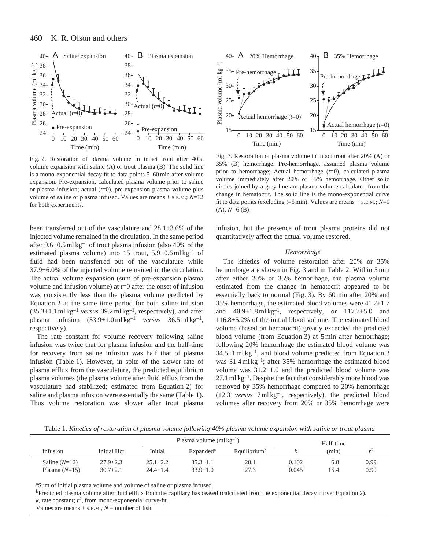

Fig. 2. Restoration of plasma volume in intact trout after 40% volume expansion with saline (A) or trout plasma (B). The solid line is a mono-exponential decay fit to data points 5–60 min after volume expansion. Pre-expansion, calculated plasma volume prior to saline or plasma infusion; actual (*t*=0), pre-expansion plasma volume plus volume of saline or plasma infused. Values are means + S.E.M.; *N*=12 for both experiments.

been transferred out of the vasculature and 28.1±3.6% of the injected volume remained in the circulation. In the same period after  $9.6\pm0.5$  ml kg<sup>-1</sup> of trout plasma infusion (also 40% of the estimated plasma volume) into 15 trout,  $5.9\pm0.6$  ml kg<sup>-1</sup> of fluid had been transferred out of the vasculature while 37.9±6.0% of the injected volume remained in the circulation. The actual volume expansion (sum of pre-expansion plasma volume and infusion volume) at *t*=0 after the onset of infusion was consistently less than the plasma volume predicted by Equation 2 at the same time period for both saline infusion (35.3±1.1 ml kg–1 *versus* 39.2 ml kg–1, respectively), and after plasma infusion  $(33.9 \pm 1.0 \,\text{ml}\,\text{kg}^{-1}$  *versus*  $36.5 \,\text{ml}\,\text{kg}^{-1}$ , respectively).

The rate constant for volume recovery following saline infusion was twice that for plasma infusion and the half-time for recovery from saline infusion was half that of plasma infusion (Table 1). However, in spite of the slower rate of plasma efflux from the vasculature, the predicted equilibrium plasma volumes (the plasma volume after fluid efflux from the vasculature had stabilized; estimated from Equation 2) for saline and plasma infusion were essentially the same (Table 1). Thus volume restoration was slower after trout plasma



Fig. 3. Restoration of plasma volume in intact trout after 20% (A) or 35% (B) hemorrhage. Pre-hemorrhage, assumed plasma volume prior to hemorrhage; Actual hemorrhage (*t*=0), calculated plasma volume immediately after 20% or 35% hemorrhage. Other solid circles joined by a grey line are plasma volume calculated from the change in hematocrit. The solid line is the mono-exponential curve fit to data points (excluding  $t=5$  min). Values are means + s.e.m.;  $N=9$ (A), *N=*6 (B).

infusion, but the presence of trout plasma proteins did not quantitatively affect the actual volume restored.

### *Hemorrhage*

The kinetics of volume restoration after 20% or 35% hemorrhage are shown in Fig. 3 and in Table 2. Within 5 min after either 20% or 35% hemorrhage, the plasma volume estimated from the change in hematocrit appeared to be essentially back to normal (Fig. 3). By 60 min after 20% and 35% hemorrhage, the estimated blood volumes were  $41.2 \pm 1.7$ and  $40.9\pm1.8$  ml kg<sup>-1</sup>, respectively, or  $117.7\pm5.0$  and 116.8±5.2% of the initial blood volume. The estimated blood volume (based on hematocrit) greatly exceeded the predicted blood volume (from Equation 3) at 5 min after hemorrhage; following 20% hemorrhage the estimated blood volume was  $34.5\pm1$  ml kg<sup>-1</sup>, and blood volume predicted from Equation 3 was 31.4 ml kg<sup>-1</sup>; after 35% hemorrhage the estimated blood volume was  $31.2 \pm 1.0$  and the predicted blood volume was  $27.1$  ml kg<sup>-1</sup>. Despite the fact that considerably more blood was removed by 35% hemorrhage compared to 20% hemorrhage (12.3 *versus* 7 ml kg–1, respectively), the predicted blood volumes after recovery from 20% or 35% hemorrhage were

Table 1. *Kinetics of restoration of plasma volume following 40% plasma volume expansion with saline or trout plasma*

|                 |                | Plasma volume $(m1 \text{ kg}^{-1})$ |                       |                          | Half-time |       |      |  |
|-----------------|----------------|--------------------------------------|-----------------------|--------------------------|-----------|-------|------|--|
| Infusion        | Initial Hct    | Initial                              | Expanded <sup>a</sup> | Equilibrium <sup>b</sup> |           | (min) | v    |  |
| Saline $(N=12)$ | $27.9 + 2.3$   | $25.1 \pm 2.2$                       | $35.3 + 1.1$          | 28.1                     | 0.102     | 6.8   | 0.99 |  |
| Plasma $(N=15)$ | $30.7 \pm 2.1$ | $24.4 + 1.4$                         | $33.9 + 1.0$          | 27.3                     | 0.045     | 15.4  | 0.99 |  |

aSum of initial plasma volume and volume of saline or plasma infused.

bPredicted plasma volume after fluid efflux from the capillary has ceased (calculated from the exponential decay curve; Equation 2).

 $k$ , rate constant;  $r^2$ , from mono-exponential curve-fit.

Values are means  $\pm$  s.E.M.,  $N =$  number of fish.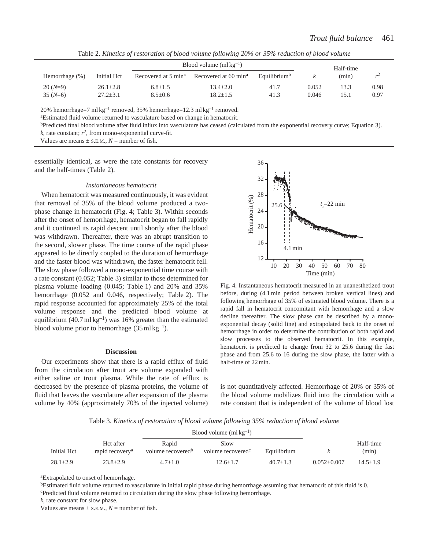| Table 2. Kinetics of restoration of blood volume following 20% or 35% reduction of blood volume |  |
|-------------------------------------------------------------------------------------------------|--|
|-------------------------------------------------------------------------------------------------|--|

|                        |                                  |                                 | Blood volume $(m1kg^{-1})$       | Half-time                |                |              |                |
|------------------------|----------------------------------|---------------------------------|----------------------------------|--------------------------|----------------|--------------|----------------|
| Hemorrhage (%)         | Initial Hct                      | Recovered at 5 min <sup>a</sup> | Recovered at 60 min <sup>a</sup> | Equilibrium <sup>b</sup> |                | (min)        | r <sup>2</sup> |
| $20(N=9)$<br>$35(N=6)$ | $26.1 \pm 2.8$<br>$27.2 \pm 3.1$ | $6.8 \pm 1.5$<br>$8.5 \pm 0.6$  | $13.4 + 2.0$<br>$18.2 \pm 1.5$   | 41.7<br>41.3             | 0.052<br>0.046 | 13.3<br>15.1 | 0.98<br>0.97   |
|                        |                                  |                                 |                                  |                          |                |              |                |

20% hemorrhage=7 ml kg<sup>-1</sup> removed, 35% hemorrhage=12.3 ml kg<sup>-1</sup> removed. <sup>a</sup>Estimated fluid volume returned to vasculature based on change in hematocrit.

bPredicted final blood volume after fluid influx into vasculature has ceased (calculated from the exponential recovery curve; Equation 3).

 $k$ , rate constant;  $r^2$ , from mono-exponential curve-fit.

Values are means  $\pm$  s.E.M.,  $N =$  number of fish.

essentially identical, as were the rate constants for recovery and the half-times (Table 2).

### *Instantaneous hematocrit*

When hematocrit was measured continuously, it was evident that removal of 35% of the blood volume produced a twophase change in hematocrit (Fig. 4; Table 3). Within seconds after the onset of hemorrhage, hematocrit began to fall rapidly and it continued its rapid descent until shortly after the blood was withdrawn. Thereafter, there was an abrupt transition to the second, slower phase. The time course of the rapid phase appeared to be directly coupled to the duration of hemorrhage and the faster blood was withdrawn, the faster hematocrit fell. The slow phase followed a mono-exponential time course with a rate constant (0.052; Table 3) similar to those determined for plasma volume loading (0.045; Table 1) and 20% and 35% hemorrhage (0.052 and 0.046, respectively; Table 2). The rapid response accounted for approximately 25% of the total volume response and the predicted blood volume at equilibrium (40.7 ml kg<sup>-1</sup>) was 16% greater than the estimated blood volume prior to hemorrhage  $(35 \text{ ml kg}^{-1})$ .

### **Discussion**

Our experiments show that there is a rapid efflux of fluid from the circulation after trout are volume expanded with either saline or trout plasma. While the rate of efflux is decreased by the presence of plasma proteins, the volume of fluid that leaves the vasculature after expansion of the plasma volume by 40% (approximately 70% of the injected volume)



Fig. 4. Instantaneous hematocrit measured in an unanesthetized trout before, during (4.1 min period between broken vertical lines) and following hemorrhage of 35% of estimated blood volume. There is a rapid fall in hematocrit concomitant with hemorrhage and a slow decline thereafter. The slow phase can be described by a monoexponential decay (solid line) and extrapolated back to the onset of hemorrhage in order to determine the contribution of both rapid and slow processes to the observed hematocrit. In this example, hematocrit is predicted to change from 32 to 25.6 during the fast phase and from 25.6 to 16 during the slow phase, the latter with a half-time of 22 min.

is not quantitatively affected. Hemorrhage of 20% or 35% of the blood volume mobilizes fluid into the circulation with a rate constant that is independent of the volume of blood lost

Table 3. *Kinetics of restoration of blood volume following 35% reduction of blood volume*

|              |                                          |                                        | Blood volume $(m1kg^{-1})$            |              |                 |                    |
|--------------|------------------------------------------|----------------------------------------|---------------------------------------|--------------|-----------------|--------------------|
| Initial Hct  | Hct after<br>rapid recovery <sup>a</sup> | Rapid<br>volume recovered <sup>b</sup> | Slow<br>volume recovered <sup>c</sup> | Equilibrium  |                 | Half-time<br>(min) |
| $28.1 + 2.9$ | $23.8 + 2.9$                             | $4.7 + 1.0$                            | $12.6 + 1.7$                          | $40.7 + 1.3$ | $0.052 + 0.007$ | $14.5 + 1.9$       |

aExtrapolated to onset of hemorrhage.

bEstimated fluid volume returned to vasculature in initial rapid phase during hemorrhage assuming that hematocrit of this fluid is 0. cPredicted fluid volume returned to circulation during the slow phase following hemorrhage.

*k*, rate constant for slow phase.

Values are means  $\pm$  s.e.m.,  $N =$  number of fish.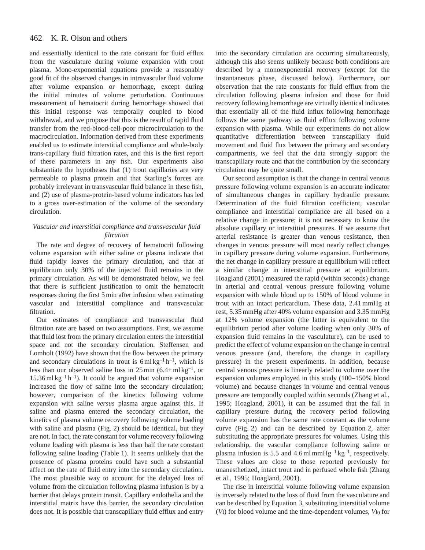#### 462 K. R. Olson and others

and essentially identical to the rate constant for fluid efflux from the vasculature during volume expansion with trout plasma. Mono-exponential equations provide a reasonably good fit of the observed changes in intravascular fluid volume after volume expansion or hemorrhage, except during the initial minutes of volume perturbation. Continuous measurement of hematocrit during hemorrhage showed that this initial response was temporally coupled to blood withdrawal, and we propose that this is the result of rapid fluid transfer from the red-blood-cell-poor microcirculation to the macrocirculation. Information derived from these experiments enabled us to estimate interstitial compliance and whole-body trans-capillary fluid filtration rates, and this is the first report of these parameters in any fish. Our experiments also substantiate the hypotheses that (1) trout capillaries are very permeable to plasma protein and that Starling's forces are probably irrelevant in transvascular fluid balance in these fish, and (2) use of plasma-protein-based volume indicators has led to a gross over-estimation of the volume of the secondary circulation.

## *Vascular and interstitial compliance and transvascular fluid filtration*

The rate and degree of recovery of hematocrit following volume expansion with either saline or plasma indicate that fluid rapidly leaves the primary circulation, and that at equilibrium only 30% of the injected fluid remains in the primary circulation. As will be demonstrated below, we feel that there is sufficient justification to omit the hematocrit responses during the first 5 min after infusion when estimating vascular and interstitial compliance and transvascular filtration.

Our estimates of compliance and transvascular fluid filtration rate are based on two assumptions. First, we assume that fluid lost from the primary circulation enters the interstitial space and not the secondary circulation. Steffensen and Lomholt (1992) have shown that the flow between the primary and secondary circulations in trout is  $6 \text{ ml kg}^{-1}$  h<sup>-1</sup>, which is less than our observed saline loss in  $25 \text{ min } (6.4 \pm \text{ml kg}^{-1})$ , or  $15.36$  ml kg<sup>-1</sup> h<sup>-1</sup>). It could be argued that volume expansion increased the flow of saline into the secondary circulation; however, comparison of the kinetics following volume expansion with saline *versus* plasma argue against this. If saline and plasma entered the secondary circulation, the kinetics of plasma volume recovery following volume loading with saline and plasma (Fig. 2) should be identical, but they are not. In fact, the rate constant for volume recovery following volume loading with plasma is less than half the rate constant following saline loading (Table 1). It seems unlikely that the presence of plasma proteins could have such a substantial affect on the rate of fluid entry into the secondary circulation. The most plausible way to account for the delayed loss of volume from the circulation following plasma infusion is by a barrier that delays protein transit. Capillary endothelia and the interstitial matrix have this barrier, the secondary circulation does not. It is possible that transcapillary fluid efflux and entry into the secondary circulation are occurring simultaneously, although this also seems unlikely because both conditions are described by a monoexponential recovery (except for the instantaneous phase, discussed below). Furthermore, our observation that the rate constants for fluid efflux from the circulation following plasma infusion and those for fluid recovery following hemorrhage are virtually identical indicates that essentially all of the fluid influx following hemorrhage follows the same pathway as fluid efflux following volume expansion with plasma. While our experiments do not allow quantitative differentiation between transcapillary fluid movement and fluid flux between the primary and secondary compartments, we feel that the data strongly support the transcapillary route and that the contribution by the secondary circulation may be quite small.

Our second assumption is that the change in central venous pressure following volume expansion is an accurate indicator of simultaneous changes in capillary hydraulic pressure. Determination of the fluid filtration coefficient, vascular compliance and interstitial compliance are all based on a relative change in pressure; it is not necessary to know the absolute capillary or interstitial pressures. If we assume that arterial resistance is greater than venous resistance, then changes in venous pressure will most nearly reflect changes in capillary pressure during volume expansion. Furthermore, the net change in capillary pressure at equilibrium will reflect a similar change in interstitial pressure at equilibrium. Hoagland (2001) measured the rapid (within seconds) change in arterial and central venous pressure following volume expansion with whole blood up to 150% of blood volume in trout with an intact pericardium. These data, 2.41 mmHg at rest, 5.35 mmHg after 40% volume expansion and 3.35 mmHg at 12% volume expansion (the latter is equivalent to the equilibrium period after volume loading when only 30% of expansion fluid remains in the vasculature), can be used to predict the effect of volume expansion on the change in central venous pressure (and, therefore, the change in capillary pressure) in the present experiments. In addition, because central venous pressure is linearly related to volume over the expansion volumes employed in this study (100–150% blood volume) and because changes in volume and central venous pressure are temporally coupled within seconds (Zhang et al., 1995; Hoagland, 2001), it can be assumed that the fall in capillary pressure during the recovery period following volume expansion has the same rate constant as the volume curve (Fig. 2) and can be described by Equation 2, after substituting the appropriate pressures for volumes. Using this relationship, the vascular compliance following saline or plasma infusion is 5.5 and 4.6 ml mmHg<sup>-1</sup> kg<sup>-1</sup>, respectively. These values are close to those reported previously for unanesthetized, intact trout and in perfused whole fish (Zhang et al., 1995; Hoagland, 2001).

The rise in interstitial volume following volume expansion is inversely related to the loss of fluid from the vasculature and can be described by Equation 3, substituting interstitial volume (*V*I) for blood volume and the time-dependent volumes, *V*I0 for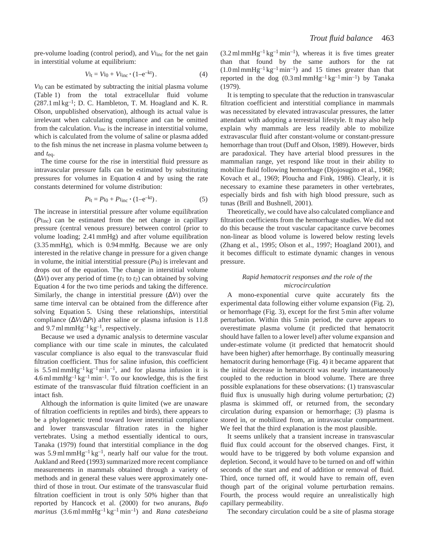pre-volume loading (control period), and *V*<sub>Iinc</sub> for the net gain in interstitial volume at equilibrium:

$$
V_{\rm It} = V_{\rm I0} + V_{\rm line} \cdot (1 - e^{-kt}). \tag{4}
$$

*V*I0 can be estimated by subtracting the initial plasma volume (Table 1) from the total extracellular fluid volume  $(287.1 \text{ ml kg}^{-1})$ ; D. C. Hambleton, T. M. Hoagland and K. R. Olson, unpublished observation), although its actual value is irrelevant when calculating compliance and can be omitted from the calculation. *V*<sub>Inc</sub> is the increase in interstitial volume, which is calculated from the volume of saline or plasma added to the fish minus the net increase in plasma volume between *t*0 and *t*eq.

The time course for the rise in interstitial fluid pressure as intravascular pressure falls can be estimated by substituting pressures for volumes in Equation 4 and by using the rate constants determined for volume distribution:

$$
P_{\rm It} = P_{\rm I0} + P_{\rm line} \cdot (1 - e^{-kt}). \tag{5}
$$

The increase in interstitial pressure after volume equilibration (*P*Iinc) can be estimated from the net change in capillary pressure (central venous pressure) between control (prior to volume loading; 2.41 mmHg) and after volume equilibration (3.35 mmHg), which is 0.94 mmHg. Because we are only interested in the relative change in pressure for a given change in volume, the initial interstitial pressure  $(P_{I0})$  is irrelevant and drops out of the equation. The change in interstitial volume (∆*V*I) over any period of time (*t*1 to *t*2) can obtained by solving Equation 4 for the two time periods and taking the difference. Similarly, the change in interstitial pressure (∆*V*I) over the same time interval can be obtained from the difference after solving Equation 5. Using these relationships, interstitial compliance (∆*V*I/∆*P*I) after saline or plasma infusion is 11.8 and 9.7 ml mmHg<sup>-1</sup> kg<sup>-1</sup>, respectively.

Because we used a dynamic analysis to determine vascular compliance with our time scale in minutes, the calculated vascular compliance is also equal to the transvascular fluid filtration coefficient. Thus for saline infusion, this coefficient is 5.5 ml mmHg<sup>-1</sup> kg<sup>-1</sup> min<sup>-1</sup>, and for plasma infusion it is  $4.6$  ml mmHg<sup>-1</sup> kg<sup>-1</sup> min<sup>-1</sup>. To our knowledge, this is the first estimate of the transvascular fluid filtration coefficient in an intact fish.

Although the information is quite limited (we are unaware of filtration coefficients in reptiles and birds), there appears to be a phylogenetic trend toward lower interstitial compliance and lower transvascular filtration rates in the higher vertebrates. Using a method essentially identical to ours, Tanaka (1979) found that interstitial compliance in the dog was  $5.9 \text{ ml mmHg}^{-1}$  kg<sup>-1</sup>, nearly half our value for the trout. Aukland and Reed (1993) summarized more recent compliance measurements in mammals obtained through a variety of methods and in general these values were approximately onethird of those in trout. Our estimate of the transvascular fluid filtration coefficient in trout is only 50% higher than that reported by Hancock et al. (2000) for two anurans, *Bufo marinus* (3.6 ml mmHg–1 kg–1min–1) and *Rana catesbeiana*  $(3.2 \text{ ml mmHg}^{-1}\text{kg}^{-1}\text{min}^{-1})$ , whereas it is five times greater than that found by the same authors for the rat  $(1.0 \text{ ml mmHg}^{-1}\text{ kg}^{-1}\text{ min}^{-1})$  and 15 times greater than that reported in the dog  $(0.3 \text{ ml mmHg}^{-1}\text{ kg}^{-1}\text{ min}^{-1})$  by Tanaka (1979).

It is tempting to speculate that the reduction in transvascular filtration coefficient and interstitial compliance in mammals was necessitated by elevated intravascular pressures, the latter attendant with adopting a terrestrial lifestyle. It may also help explain why mammals are less readily able to mobilize extravascular fluid after constant-volume or constant-pressure hemorrhage than trout (Duff and Olson, 1989). However, birds are paradoxical. They have arterial blood pressures in the mammalian range, yet respond like trout in their ability to mobilize fluid following hemorrhage (Djojosugito et al., 1968; Kovach et al., 1969; Ploucha and Fink, 1986). Clearly, it is necessary to examine these parameters in other vertebrates, especially birds and fish with high blood pressure, such as tunas (Brill and Bushnell, 2001).

Theoretically, we could have also calculated compliance and filtration coefficients from the hemorrhage studies. We did not do this because the trout vascular capacitance curve becomes non-linear as blood volume is lowered below resting levels (Zhang et al., 1995; Olson et al., 1997; Hoagland 2001), and it becomes difficult to estimate dynamic changes in venous pressure.

### *Rapid hematocrit responses and the role of the microcirculation*

A mono-exponential curve quite accurately fits the experimental data following either volume expansion (Fig. 2), or hemorrhage (Fig. 3), except for the first 5 min after volume perturbation. Within this 5 min period, the curve appears to overestimate plasma volume (it predicted that hematocrit should have fallen to a lower level) after volume expansion and under-estimate volume (it predicted that hematocrit should have been higher) after hemorrhage. By continually measuring hematocrit during hemorrhage (Fig. 4) it became apparent that the initial decrease in hematocrit was nearly instantaneously coupled to the reduction in blood volume. There are three possible explanations for these observations: (1) transvascular fluid flux is unusually high during volume perturbation; (2) plasma is skimmed off, or returned from, the secondary circulation during expansion or hemorrhage; (3) plasma is stored in, or mobilized from, an intravascular compartment. We feel that the third explanation is the most plausible.

It seems unlikely that a transient increase in transvascular fluid flux could account for the observed changes. First, it would have to be triggered by both volume expansion and depletion. Second, it would have to be turned on and off within seconds of the start and end of addition or removal of fluid. Third, once turned off, it would have to remain off, even though part of the original volume perturbation remains. Fourth, the process would require an unrealistically high capillary permeability.

The secondary circulation could be a site of plasma storage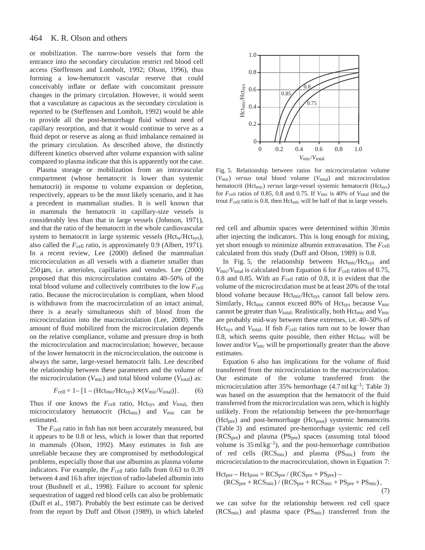#### 464 K. R. Olson and others

or mobilization. The narrow-bore vessels that form the entrance into the secondary circulation restrict red blood cell access (Steffensen and Lomholt, 1992; Olson, 1996), thus forming a low-hematocrit vascular reserve that could conceivably inflate or deflate with concomitant pressure changes in the primary circulation. However, it would seem that a vasculature as capacious as the secondary circulation is reported to be (Steffensen and Lomholt, 1992) would be able to provide all the post-hemorrhage fluid without need of capillary resorption, and that it would continue to serve as a fluid depot or reserve as along as fluid imbalance remained in the primary circulation. As described above, the distinctly different kinetics observed after volume expansion with saline compared to plasma indicate that this is apparently not the case.

Plasma storage or mobilization from an intravascular compartment (whose hematocrit is lower than systemic hematocrit) in response to volume expansion or depletion, respectively, appears to be the most likely scenario, and it has a precedent in mammalian studies. It is well known that in mammals the hematocrit in capillary-size vessels is considerably less than that in large vessels (Johnson, 1971), and that the ratio of the hematocrit in the whole cardiovascular system to hematocrit in large systemic vessels (Hct<sub>w</sub>/Hct<sub>sys</sub>), also called the  $F_{cell}$  ratio, is approximately 0.9 (Albert, 1971). In a recent review, Lee (2000) defined the mammalian microcirculation as all vessels with a diameter smaller than  $250 \,\mu m$ , i.e. arterioles, capillaries and venules. Lee  $(2000)$ proposed that this microcirculation contains 40–50% of the total blood volume and collectively contributes to the low  $F_{cell}$ ratio. Because the microcirculation is compliant, when blood is withdrawn from the macrocirculation of an intact animal, there is a nearly simultaneous shift of blood from the microcirculation into the macrocirculation (Lee, 2000). The amount of fluid mobilized from the microcirculation depends on the relative compliance, volume and pressure drop in both the microcirculation and macrocirculation; however, because of the lower hematocrit in the microcirculation, the outcome is always the same, large-vessel hematocrit falls. Lee described the relationship between these parameters and the volume of the microcirculation ( $V_{\text{mic}}$ ) and total blood volume ( $V_{\text{total}}$ ) as:

$$
F_{\text{cell}} = 1 - [1 - (\text{Hct}_{\text{mic}}/\text{Hct}_{\text{sys}}) \times (V_{\text{mic}}/V_{\text{total}})].
$$
 (6)

Thus if one knows the  $F_{cell}$  ratio, Hct<sub>sys</sub> and  $V_{total}$ , then microcirculatory hematocrit (Hctmic) and *V*mic can be estimated.

The *F*cell ratio in fish has not been accurately measured, but it appears to be 0.8 or less, which is lower than that reported in mammals (Olson, 1992). Many estimates in fish are unreliable because they are compromised by methodological problems, especially those that use albumins as plasma volume indicators. For example, the  $F_{cell}$  ratio falls from 0.63 to 0.39 between 4 and 16 h after injection of radio-labeled albumin into trout (Bushnell et al., 1998). Failure to account for splenic sequestration of tagged red blood cells can also be problematic (Duff et al., 1987). Probably the best estimate can be derived from the report by Duff and Olson (1989), in which labeled



Fig. 5. Relationship between ratios for microcirculation volume (*V*mic) *versus* total blood volume (*V*total) and microcirculation hematocrit (Hct<sub>mic</sub>) *versus* large-vessel systemic hematocrit (Hct<sub>sys</sub>) for *F*cell ratios of 0.85, 0.8 and 0.75. If *V*mic is 40% of *V*total and the trout  $F_{cell}$  ratio is 0.8, then Hct<sub>mic</sub> will be half of that in large vessels.

red cell and albumin spaces were determined within 30 min after injecting the indicators. This is long enough for mixing, yet short enough to minimize albumin extravasation. The  $F_{cell}$ calculated from this study (Duff and Olson, 1989) is 0.8.

In Fig. 5, the relationship between  $Hct_{\text{mic}}/Hct_{\text{sys}}$  and  $V_{\text{mic}}/V_{\text{total}}$  is calculated from Equation 6 for  $F_{\text{cell}}$  ratios of 0.75, 0.8 and 0.85. With an  $F_{cell}$  ratio of 0.8, it is evident that the volume of the microcirculation must be at least 20% of the total blood volume because Hct<sub>mic</sub>/Hct<sub>sys</sub> cannot fall below zero. Similarly, Hct<sub>mic</sub> cannot exceed 80% of Hct<sub>sys</sub> because  $V_{\text{mic}}$ cannot be greater than *V*<sub>total</sub>. Realistically, both Hct<sub>mic</sub> and *V*<sub>mic</sub> are probably mid-way between these extremes, i.e. 40–50% of Hct<sub>sys</sub> and  $V_{total}$ . If fish  $F_{cell}$  ratios turn out to be lower than 0.8, which seems quite possible, then either  $Hct<sub>mic</sub>$  will be lower and/or  $V_{\text{mic}}$  will be proportionally greater than the above estimates.

Equation 6 also has implications for the volume of fluid transferred from the microcirculation to the macrocirculation. Our estimate of the volume transferred from the microcirculation after 35% hemorrhage  $(4.7 \text{ ml kg}^{-1})$ ; Table 3) was based on the assumption that the hematocrit of the fluid transferred from the microcirculation was zero, which is highly unlikely. From the relationship between the pre-hemorrhage (Hct<sub>pre</sub>) and post-hemorrhage (Hct<sub>post</sub>) systemic hematocrits (Table 3) and estimated pre-hemorrhage systemic red cell (RCSpre) and plasma (PSpre) spaces (assuming total blood volume is  $35 \text{ ml kg}^{-1}$ , and the post-hemorrhage contribution of red cells  $(RCS<sub>mic</sub>)$  and plasma  $(PS<sub>mic</sub>)$  from the microcirculation to the macrocirculation, shown in Equation 7:

$$
Hct_{pre} - Hct_{post} = RCS_{pre} / (RCS_{pre} + PS_{pre}) -
$$
  

$$
(RCS_{pre} + RCS_{mic}) / (RCS_{pre} + RCS_{mic} + PS_{pre} + PS_{mic}),
$$
  
(7)

we can solve for the relationship between red cell space  $(RCS<sub>mic</sub>)$  and plasma space  $(PS<sub>mic</sub>)$  transferred from the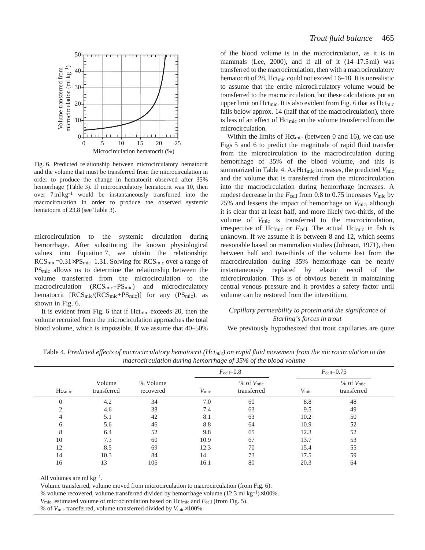

Fig. 6. Predicted relationship between microcirculatory hematocrit and the volume that must be transferred from the microcirculation in order to produce the change in hematocrit observed after 35% hemorrhage (Table 3). If microcirculatory hematocrit was 10, then over  $7 \text{ ml kg}^{-1}$  would be instantaneously transferred into the macrocirculation in order to produce the observed systemic hematocrit of 23.8 (see Table 3).

microcirculation to the systemic circulation during hemorrhage. After substituting the known physiological values into Equation 7, we obtain the relationship:  $RCS<sub>mic</sub>=0.31\times PS<sub>mic</sub>-1.31$ . Solving for  $RCS<sub>mic</sub>$  over a range of PSmic allows us to determine the relationship between the volume transferred from the microcirculation to the macrocirculation (RCS<sub>mic</sub>+PS<sub>mic</sub>) and microcirculatory hematocrit  $[RCS_{\text{mic}}/(RCS_{\text{mic}}+PS_{\text{mic}})]$  for any  $(PS_{\text{mic}})$ , as shown in Fig. 6.

It is evident from Fig. 6 that if  $Hct<sub>mic</sub>$  exceeds 20, then the volume recruited from the microcirculation approaches the total blood volume, which is impossible. If we assume that 40–50%

of the blood volume is in the microcirculation, as it is in mammals (Lee, 2000), and if all of it  $(14–17.5 \,\text{m})$  was transferred to the macrocirculation, then with a macrocirculatory hematocrit of 28, Hct<sub>mic</sub> could not exceed 16–18. It is unrealistic to assume that the entire microcirculatory volume would be transferred to the macrocirculation, but these calculations put an upper limit on Hct<sub>mic</sub>. It is also evident from Fig. 6 that as Hct<sub>mic</sub> falls below approx. 14 (half that of the macrocirculation), there is less of an effect of Hct<sub>mic</sub> on the volume transferred from the microcirculation.

Within the limits of  $Hct_{\text{mic}}$  (between 0 and 16), we can use Figs 5 and 6 to predict the magnitude of rapid fluid transfer from the microcirculation to the macrocirculation during hemorrhage of 35% of the blood volume, and this is summarized in Table 4. As Hctmic increases, the predicted *V*mic and the volume that is transferred from the microcirculation into the macrocirculation during hemorrhage increases. A modest decrease in the  $F_{cell}$  from 0.8 to 0.75 increases  $V_{\text{mic}}$  by 25% and lessens the impact of hemorrhage on *V*mic, although it is clear that at least half, and more likely two-thirds, of the volume of *V*mic is transferred to the macrocirculation, irrespective of Hct<sub>mic</sub> or  $F_{cell}$ . The actual Hct<sub>mic</sub> in fish is unknown. If we assume it is between 8 and 12, which seems reasonable based on mammalian studies (Johnson, 1971), then between half and two-thirds of the volume lost from the macrocirculation during 35% hemorrhage can be nearly instantaneously replaced by elastic recoil of the microcirculation. This is of obvious benefit in maintaining central venous pressure and it provides a safety factor until volume can be restored from the interstitium.

## *Capillary permeability to protein and the significance of Starling's forces in trout*

We previously hypothesized that trout capillaries are quite

|          | Volume<br>$Hct_{mic}$<br>transferred | % Volume<br>recovered | $F_{\text{cell}}=0.8$ |                              | $F_{\text{cell}}=0.75$ |                              |
|----------|--------------------------------------|-----------------------|-----------------------|------------------------------|------------------------|------------------------------|
|          |                                      |                       | $V_{\rm mic}$         | $%$ of $Vmic$<br>transferred | $V_{\rm mic}$          | $%$ of $Vmic$<br>transferred |
| $\Omega$ | 4.2                                  | 34                    | 7.0                   | 60                           | 8.8                    | 48                           |
| ◠        | 4.6                                  | 38                    | 7.4                   | 63                           | 9.5                    | 49                           |
|          | 5.1                                  | 42                    | 8.1                   | 63                           | 10.2                   | 50                           |
| 6        | 5.6                                  | 46                    | 8.8                   | 64                           | 10.9                   | 52                           |
| 8        | 6.4                                  | 52                    | 9.8                   | 65                           | 12.3                   | 52                           |
| 10       | 7.3                                  | 60                    | 10.9                  | 67                           | 13.7                   | 53                           |
| 12       | 8.5                                  | 69                    | 12.3                  | 70                           | 15.4                   | 55                           |
| 14       | 10.3                                 | 84                    | 14                    | 73                           | 17.5                   | 59                           |
| 16       | 13                                   | 106                   | 16.1                  | 80                           | 20.3                   | 64                           |

Table 4. *Predicted effects of microcirculatory hematocrit (Hctmic) on rapid fluid movement from the microcirculation to the macrocirculation during hemorrhage of 35% of the blood volume*

All volumes are ml  $kg^{-1}$ .

Volume transferred, volume moved from microcirculation to macrocirculation (from Fig. 6).

% volume recovered, volume transferred divided by hemorrhage volume (12.3 ml kg<sup>-1</sup>) $\times$ 100%.

% of *V*mic transferred, volume transferred divided by *V*mic×100%.

*V*<sub>mic</sub>, estimated volume of microcirculation based on Hct<sub>mic</sub> and *F*<sub>cell</sub> (from Fig. 5).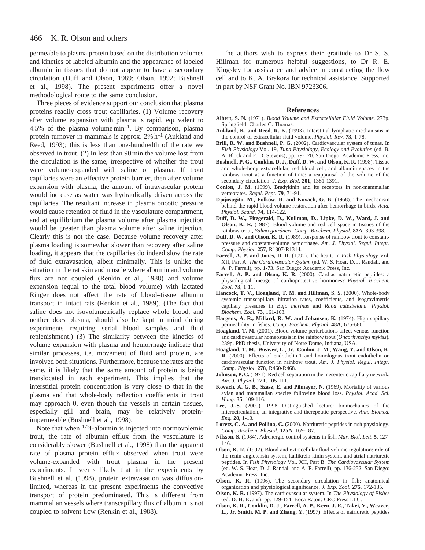permeable to plasma protein based on the distribution volumes and kinetics of labeled albumin and the appearance of labeled albumin in tissues that do not appear to have a secondary circulation (Duff and Olson, 1989; Olson, 1992; Bushnell et al., 1998). The present experiments offer a novel methodological route to the same conclusion.

Three pieces of evidence support our conclusion that plasma proteins readily cross trout capillaries. (1) Volume recovery after volume expansion with plasma is rapid, equivalent to 4.5% of the plasma volume  $min^{-1}$ . By comparison, plasma protein turnover in mammals is approx.  $2\%$  h<sup>-1</sup> (Aukland and Reed, 1993); this is less than one-hundredth of the rate we observed in trout. (2) In less than 90 min the volume lost from the circulation is the same, irrespective of whether the trout were volume-expanded with saline or plasma. If trout capillaries were an effective protein barrier, then after volume expansion with plasma, the amount of intravascular protein would increase as water was hydraulically driven across the capillaries. The resultant increase in plasma oncotic pressure would cause retention of fluid in the vasculature compartment, and at equilibrium the plasma volume after plasma injection would be greater than plasma volume after saline injection. Clearly this is not the case. Because volume recovery after plasma loading is somewhat slower than recovery after saline loading, it appears that the capillaries do indeed slow the rate of fluid extravasation, albeit minimally. This is unlike the situation in the rat skin and muscle where albumin and volume flux are not coupled (Renkin et al., 1988) and volume expansion (equal to the total blood volume) with lactated Ringer does not affect the rate of blood–tissue albumin transport in intact rats (Renkin et al., 1989). (The fact that saline does not isovolumetrically replace whole blood, and neither does plasma, should also be kept in mind during experiments requiring serial blood samples and fluid replenishment.) (3) The similarity between the kinetics of volume expansion with plasma and hemorrhage indicate that similar processes, i.e. movement of fluid and protein, are involved both situations. Furthermore, because the rates are the same, it is likely that the same amount of protein is being translocated in each experiment. This implies that the interstitial protein concentration is very close to that in the plasma and that whole-body reflection coefficients in trout may approach 0, even though the vessels in certain tissues, especially gill and brain, may be relatively proteinimpermeable (Bushnell et al., 1998).

Note that when 125I-albumin is injected into normovolemic trout, the rate of albumin efflux from the vasculature is considerably slower (Bushnell et al., 1998) than the apparent rate of plasma protein efflux observed when trout were volume-expanded with trout plasma in the present experiments. It seems likely that in the experiments by Bushnell et al. (1998), protein extravasation was diffusionlimited, whereas in the present experiments the convective transport of protein predominated. This is different from mammalian vessels where transcapillary flux of albumin is not coupled to solvent flow (Renkin et al., 1988).

The authors wish to express their gratitude to Dr S. S. Hillman for numerous helpful suggestions, to Dr R. E. Kingsley for assistance and advice in constructing the flow cell and to K. A. Brakora for technical assistance. Supported in part by NSF Grant No. IBN 9723306.

### **References**

- **Albert, S. N.** (1971). *Blood Volume and Extracellular Fluid Volume.* 273p. Springfield: Charles C. Thomas.
- **Aukland, K. and Reed, R. K.** (1993). Interstitial-lymphatic mechanisms in the control of extracellular fluid volume. *Physiol. Rev.* **73**, 1-78.
- Brill, R. W. and Bushnell, P. G. (2002). Cardiovascular system of tunas. In *Fish Physiology* Vol. 19, *Tuna Physiology, Ecology and Evolution* (ed. B. A. Block and E. D. Stevens), pp. 79-120. San Diego: Academic Press, Inc.
- **Bushnell, P. G., Conklin, D. J., Duff, D. W. and Olson, K. R.** (1998). Tissue and whole-body extracellular, red blood cell, and albumin spaces in the rainbow trout as a function of time: a reappraisal of the volume of the secondary circulation. *J. Exp. Biol.* **201**, 1381-1391.
- **Conlon, J. M.** (1999). Bradykinin and its receptors in non-mammalian vertebrates. *Regul. Pept.* **79**, 71-91.
- **Djojosugito, M., Folkow, B. and Kovach, G. B.** (1968). The mechanism behind the rapid blood volume restoration after hemorrhage in birds. *Acta. Physiol. Scand.* **74**, 114-122.
- **Duff, D. W., Fitzgerald, D., Kullman, D., Lipke, D. W., Ward, J. and Olson, K. R.** (1987). Blood volume and red cell space in tissues of the rainbow trout, *Salmo gairdneri*. *Comp. Biochem. Physiol.* **87A**, 393-398.
- **Duff, D. W. and Olson, K. R.** (1989). Response of rainbow trout to constantpressure and constant-volume hemorrhage. *Am. J. Physiol. Regul. Integr. Comp. Physiol.* **257**, R1307-R1314.
- **Farrell, A. P. and Jones, D. R.** (1992). The heart. In *Fish Physiology* Vol. XII, Part A. *The Cardiovascular System* (ed. W. S. Hoar, D. J. Randall, and A. P. Farrell), pp. 1-73. San Diego: Academic Press, Inc.
- Farrell, A. P. and Olson, K. R. (2000). Cardiac natriuretic peptides: a physiological lineage of cardioprotective hormones? *Physiol. Biochem. Zool.* **73**, 1-11.
- Hancock, T. V., Hoagland, T. M. and Hillman, S. S. (2000). Whole-body systemic transcapillary filtration rates, coefficients, and isogravimetric capillary pressures in *Bufo marinus* and *Rana catesbeiana*. *Physiol. Biochem. Zool.* **73**, 161-168.
- Hargens, A. R., Millard, R. W. and Johansen, K. (1974). High capillary permeability in fishes. *Comp. Biochem. Physiol.* **48A**, 675-680.
- **Hoagland, T. M.** (2001). Blood volume perturbations affect venous function and cardiovascular homeostasis in the rainbow trout (*Oncorhynchys mykiss*). 239p. PhD thesis, University of Notre Dame, Indiana, USA.
- **Hoagland, T. M., Weaver, L., Jr., Conlon, J. M., Wang, Y. and Olson, K. R.** (2000). Effects of endothelin-1 and homologous trout endothelin on cardiovascular function in rainbow trout. *Am. J. Physiol. Regul. Integr. Comp. Physiol.* **278**, R460-R468.
- **Johnson, P. C.** (1971). Red cell separation in the mesenteric capillary network. *Am. J. Physiol.* **221**, 105-111.
- **Kovach, A. G. B., Szasz, E. and Pilmayer, N.** (1969). Mortality of various avian and mammalian species following blood loss. *Physiol. Acad. Sci. Hung.* **35**, 109-116.
- **Lee, J.-S.** (2000). 1998 Distinguished lecture: biomechanics of the microcirculation, an integrative and therepeutic perspective. *Ann. Biomed. Eng.* **28**, 1-13.
- Loretz, C. A. and Pollina, C. (2000). Natriuretic peptides in fish physiology. *Comp. Biochem. Physiol.* **125A**, 169-187.
- **Nilsson, S.** (1984). Adrenergic control systems in fish. *Mar. Biol. Lett.* **5**, 127- 146.
- **Olson, K. R.** (1992). Blood and extracellular fluid volume regulation: role of the renin-angiotensin system, kallikrein-kinin system, and atrial natriuretic peptides. In *Fish Physiology* Vol. XII, Part B. *The Cardiovascular System* (ed. W. S. Hoar, D. J. Randall and A. P. Farrell), pp. 136-232. San Diego: Academic Press, Inc.
- **Olson, K. R.** (1996). The secondary circulation in fish: anatomical organization and physiological significance. *J. Exp. Zool.* **275**, 172-185.
- **Olson, K. R.** (1997). The cardiovascular system. In *The Physiology of Fishes* (ed. D. H. Evans), pp. 129-154. Boca Raton: CRC Press LLC.
- **Olson, K. R., Conklin, D. J., Farrell, A. P., Keen, J. E., Takei, Y., Weaver, L., Jr, Smith, M. P. and Zhang, Y.** (1997). Effects of natriuretic peptides